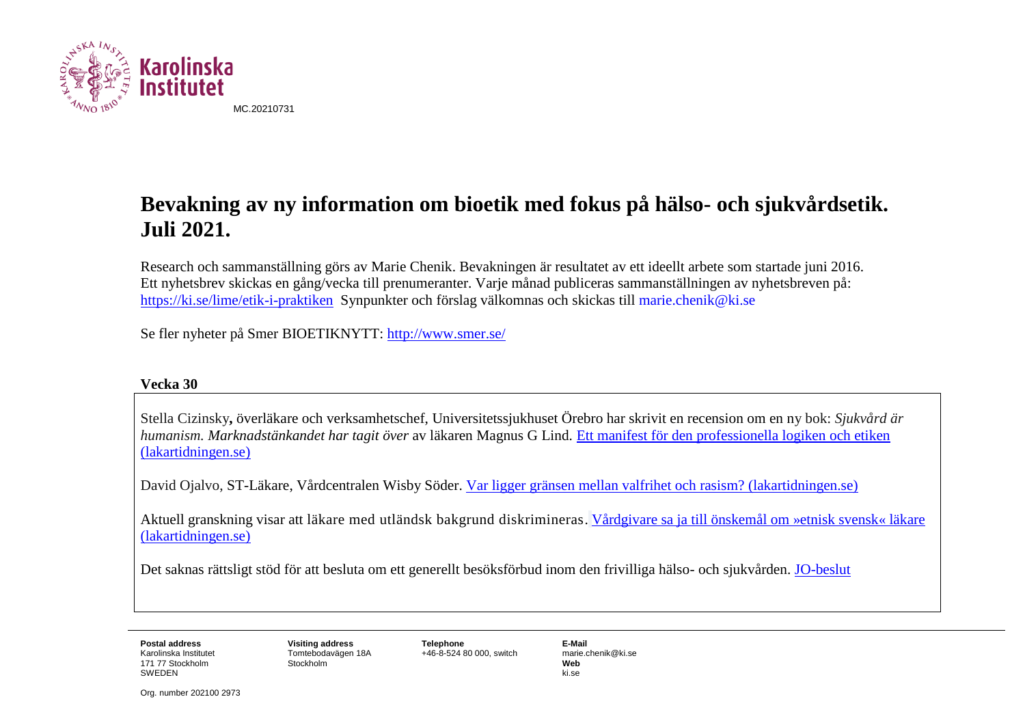

# **Bevakning av ny information om bioetik med fokus på hälso- och sjukvårdsetik. Juli 2021.**

Research och sammanställning görs av Marie Chenik. Bevakningen är resultatet av ett ideellt arbete som startade juni 2016. Ett nyhetsbrev skickas en gång/vecka till prenumeranter. Varje månad publiceras sammanställningen av nyhetsbreven på: <https://ki.se/lime/etik-i-praktiken> Synpunkter och förslag välkomnas och skickas till [marie.chenik@ki.se](mailto:marie.chenik@ki.se)

Se fler nyheter på Smer BIOETIKNYTT:<http://www.smer.se/>

# **Vecka 30**

Stella Cizinsky**,** överläkare och verksamhetschef, Universitetssjukhuset Örebro har skrivit en recension om en ny bok: *Sjukvård är humanism. Marknadstänkandet har tagit över* av läkaren Magnus G Lind. [Ett manifest för den professionella logiken och etiken](https://lakartidningen.se/aktuellt/recensioner/2021/07/ett-manifest-for-den-professionella-logiken-och-etiken/)  [\(lakartidningen.se\)](https://lakartidningen.se/aktuellt/recensioner/2021/07/ett-manifest-for-den-professionella-logiken-och-etiken/)

David Ojalvo, ST-Läkare, Vårdcentralen Wisby Söder. [Var ligger gränsen mellan valfrihet och rasism? \(lakartidningen.se\)](https://lakartidningen.se/aktuellt/kronika/2021/07/var-ligger-gransen-mellan-valfrihet-och-rasism/)

Aktuell granskning visar att läkare med utländsk bakgrund diskrimineras. [Vårdgivare sa ja till önskemål om »etnisk svensk« läkare](https://lakartidningen.se/aktuellt/nyheter/2021/07/vardgivare-sa-ja-till-onskemal-om-en-etnisk-svensk-lakare/)  [\(lakartidningen.se\)](https://lakartidningen.se/aktuellt/nyheter/2021/07/vardgivare-sa-ja-till-onskemal-om-en-etnisk-svensk-lakare/)

Det saknas rättsligt stöd för att besluta om ett generellt besöksförbud inom den frivilliga hälso- och sjukvården. [JO-beslut](https://www.jo.se/PageFiles/32865/4132-2020.pdf)

Karolinska Institutet 171 77 Stockholm SWEDEN

Tomtebodavägen 18A **Stockholm** 

**Postal address Visiting address Telephone E-Mail**  $+46-8-52480000$ , switch

**Web** ki.se

Org. number 202100 2973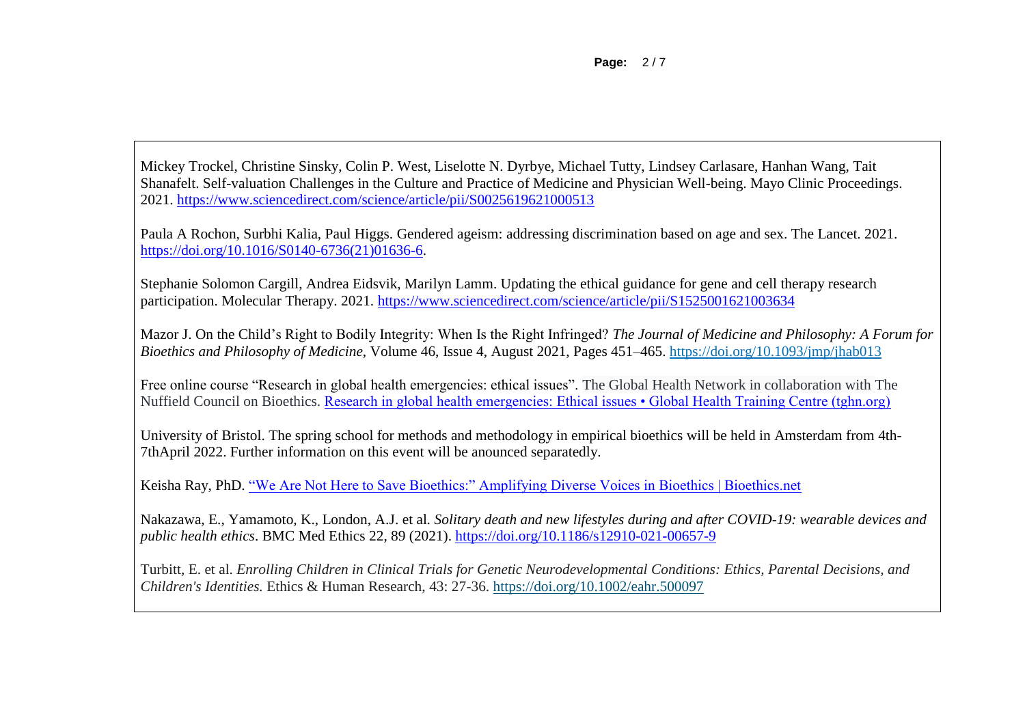Mickey Trockel, Christine Sinsky, Colin P. West, Liselotte N. Dyrbye, Michael Tutty, Lindsey Carlasare, Hanhan Wang, Tait Shanafelt. Self-valuation Challenges in the Culture and Practice of Medicine and Physician Well-being. Mayo Clinic Proceedings. 2021.<https://www.sciencedirect.com/science/article/pii/S0025619621000513>

Paula A Rochon, Surbhi Kalia, Paul Higgs. Gendered ageism: addressing discrimination based on age and sex. The Lancet. 2021. [https://doi.org/10.1016/S0140-6736\(21\)01636-6.](https://doi.org/10.1016/S0140-6736(21)01636-6)

Stephanie Solomon Cargill, Andrea Eidsvik, Marilyn Lamm. Updating the ethical guidance for gene and cell therapy research participation. Molecular Therapy. 2021.<https://www.sciencedirect.com/science/article/pii/S1525001621003634>

Mazor J. On the Child's Right to Bodily Integrity: When Is the Right Infringed? *The Journal of Medicine and Philosophy: A Forum for Bioethics and Philosophy of Medicine*, Volume 46, Issue 4, August 2021, Pages 451–465. <https://doi.org/10.1093/jmp/jhab013>

Free online course "Research in global health emergencies: ethical issues". The Global Health Network in collaboration with The Nuffield Council on Bioethics. [Research in global health emergencies: Ethical issues • Global Health Training Centre \(tghn.org\)](https://globalhealthtrainingcentre.tghn.org/research-global-health-emergencies-ethical-issues/)

University of Bristol. The spring school for methods and methodology in empirical bioethics will be held in Amsterdam from 4th-7thApril 2022. Further information on this event will be anounced separatedly.

Keisha Ray, PhD. ["We Are Not Here to Save Bioethics:" Amplifying Diverse Voices in Bioethics | Bioethics.net](https://www.bioethics.net/2021/07/we-are-not-here-to-save-bioethics-amplifying-diverse-voices-in-bioethics/)

Nakazawa, E., Yamamoto, K., London, A.J. et al*. Solitary death and new lifestyles during and after COVID-19: wearable devices and public health ethics*. BMC Med Ethics 22, 89 (2021).<https://doi.org/10.1186/s12910-021-00657-9>

Turbitt, E. et al. *Enrolling Children in Clinical Trials for Genetic Neurodevelopmental Conditions: Ethics, Parental Decisions, and Children's Identities.* Ethics & Human Research, 43: 27-36. <https://doi.org/10.1002/eahr.500097>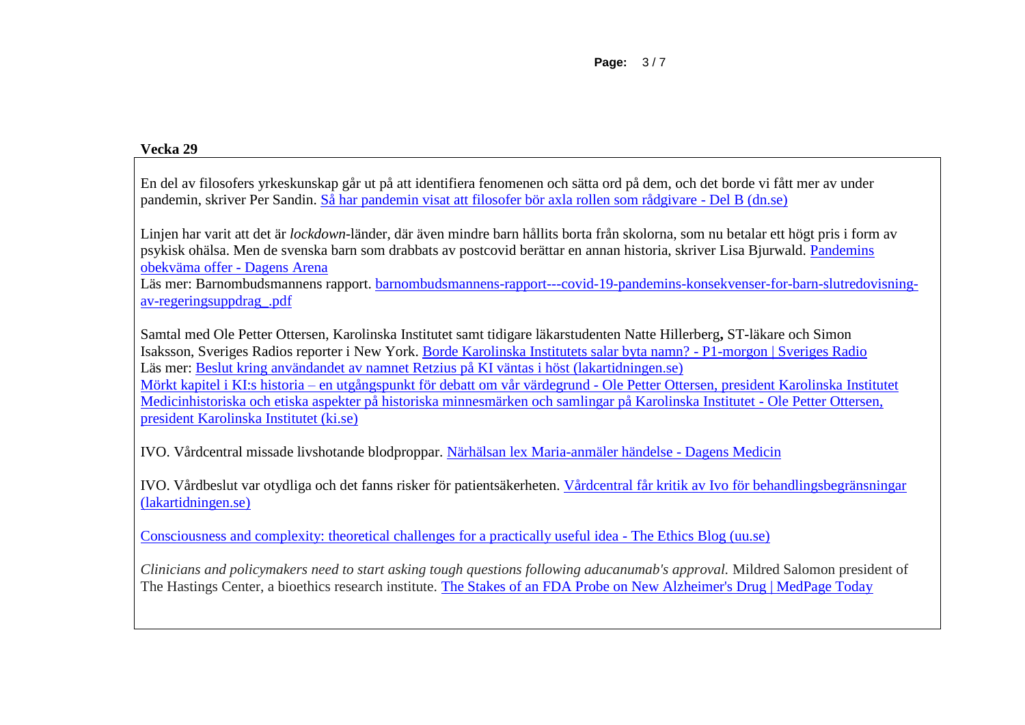### **Vecka 29**

En del av filosofers yrkeskunskap går ut på att identifiera fenomenen och sätta ord på dem, och det borde vi fått mer av under pandemin, skriver Per Sandin. [Så har pandemin visat att filosofer bör axla rollen som rådgivare -](https://etidning.dn.se/2359/del-b/428977/2021-07-15/21758053/sa-har-pandemin-visat-att-filosofer-bor-axla-rollen-som-radgivare) Del B (dn.se)

Linjen har varit att det är *lockdown*-länder, där även mindre barn hållits borta från skolorna, som nu betalar ett högt pris i form av psykisk ohälsa. Men de svenska barn som drabbats av postcovid berättar en annan historia, skriver Lisa Bjurwald. [Pandemins](https://www.dagensarena.se/opinion/pandemins-obekvama-offer/)  [obekväma offer -](https://www.dagensarena.se/opinion/pandemins-obekvama-offer/) Dagens Arena

Läs mer: Barnombudsmannens rapport. [barnombudsmannens-rapport---covid-19-pandemins-konsekvenser-for-barn-slutredovisning](https://www.barnombudsmannen.se/globalassets/dokument-for-nedladdning/publikationer/publikationer2/barnombudsmannens-rapport---covid-19-pandemins-konsekvenser-for-barn-slutredovisning-av-regeringsuppdrag_.pdf?fbclid=IwAR0bslgJdyM5CiqlaT7gPZp2460lxW0H5fZ-i8AzAicULjVToxqQ1Ap4pvI)[av-regeringsuppdrag\\_.pdf](https://www.barnombudsmannen.se/globalassets/dokument-for-nedladdning/publikationer/publikationer2/barnombudsmannens-rapport---covid-19-pandemins-konsekvenser-for-barn-slutredovisning-av-regeringsuppdrag_.pdf?fbclid=IwAR0bslgJdyM5CiqlaT7gPZp2460lxW0H5fZ-i8AzAicULjVToxqQ1Ap4pvI)

Samtal med Ole Petter Ottersen, Karolinska Institutet samt tidigare läkarstudenten Natte Hillerberg**,** ST-läkare och Simon Isaksson, Sveriges Radios reporter i New York. [Borde Karolinska Institutets salar byta namn? -](https://sverigesradio.se/artikel/borde-karolinska-institutets-salar-byta-namn) P1-morgon | Sveriges Radio Läs mer: [Beslut kring användandet av namnet Retzius på KI väntas i höst \(lakartidningen.se\)](https://lakartidningen.se/aktuellt/nyheter/2021/07/beslut-kring-anvandandet-av-namnet-retzius-pa-ki-vantas-i-host/) Mörkt kapitel i KI:s historia – en utgångspunkt för debatt om vår värdegrund - [Ole Petter Ottersen, president Karolinska Institutet](https://blog.ki.se/rektor/2021/05/28/morkt-kapitel-i-kis-historia-en-utgangspunkt-for-debatt-om-var-vardegrund/) [Medicinhistoriska och etiska aspekter på historiska minnesmärken och samlingar på Karolinska Institutet -](https://blog.ki.se/rektor/2020/10/14/medicinhistoriska-och-etiska-aspekter-pa-historiska-minnesmarken-och-samlingar-pa-karolinska-institutet/) Ole Petter Ottersen, [president Karolinska Institutet \(ki.se\)](https://blog.ki.se/rektor/2020/10/14/medicinhistoriska-och-etiska-aspekter-pa-historiska-minnesmarken-och-samlingar-pa-karolinska-institutet/)

IVO. Vårdcentral missade livshotande blodproppar. [Närhälsan lex Maria-anmäler händelse -](https://www.dagensmedicin.se/vardens-styrning/patientsakerhet/vardcentral-missade-livshotande-blodproppar/) Dagens Medicin

IVO. Vårdbeslut var otydliga och det fanns risker för patientsäkerheten. [Vårdcentral får kritik av Ivo för behandlingsbegränsningar](https://lakartidningen.se/aktuellt/patientsakerhet/2021/07/vardcentral-far-kritik-av-ivo-for-behandlingsbegransningar/)  [\(lakartidningen.se\)](https://lakartidningen.se/aktuellt/patientsakerhet/2021/07/vardcentral-far-kritik-av-ivo-for-behandlingsbegransningar/)

[Consciousness and complexity: theoretical challenges for a practically useful idea -](https://ethicsblog.crb.uu.se/2021/07/13/consciousness-and-complexity-theoretical-challenges-for-a-practically-useful-idea/) The Ethics Blog (uu.se)

*Clinicians and policymakers need to start asking tough questions following aducanumab's approval.* Mildred Salomon president of The Hastings Center, a bioethics research institute. [The Stakes of an FDA Probe on New Alzheimer's Drug | MedPage Today](https://www.medpagetoday.com/opinion/second-opinions/93655)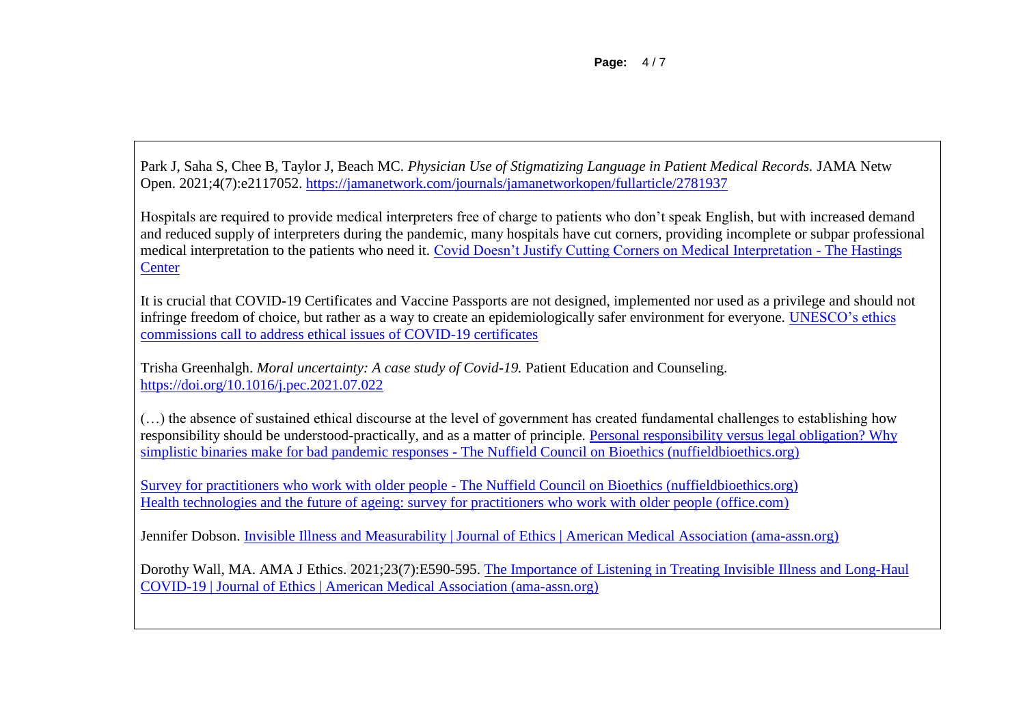**Page:** 4 / 7

Park J, Saha S, Chee B, Taylor J, Beach MC. *Physician Use of Stigmatizing Language in Patient Medical Records.* JAMA Netw Open. 2021;4(7):e2117052.<https://jamanetwork.com/journals/jamanetworkopen/fullarticle/2781937>

Hospitals are required to provide medical interpreters free of charge to patients who don't speak English, but with increased demand and reduced supply of interpreters during the pandemic, many hospitals have cut corners, providing incomplete or subpar professional medical interpretation to the patients who need it. [Covid Doesn't Justify Cutting Corners on Medical Interpretation -](https://www.thehastingscenter.org/covid-doesnt-justify-cutting-corners-on-medical-interpretation/) The Hastings **[Center](https://www.thehastingscenter.org/covid-doesnt-justify-cutting-corners-on-medical-interpretation/)** 

It is crucial that COVID-19 Certificates and Vaccine Passports are not designed, implemented nor used as a privilege and should not infringe freedom of choice, but rather as a way to create an epidemiologically safer environment for everyone. [UNESCO's ethics](https://en.unesco.org/news/unescos-ethics-commissions-call-address-ethical-issues-covid-19-certificates)  [commissions call to address ethical issues of COVID-19 certificates](https://en.unesco.org/news/unescos-ethics-commissions-call-address-ethical-issues-covid-19-certificates)

Trisha Greenhalgh. *Moral uncertainty: A case study of Covid-19.* Patient Education and Counseling. <https://doi.org/10.1016/j.pec.2021.07.022>

(…) the absence of sustained ethical discourse at the level of government has created fundamental challenges to establishing how responsibility should be understood-practically, and as a matter of principle. [Personal responsibility versus legal obligation? Why](https://www.nuffieldbioethics.org/blog/personal-responsibility-versus-legal-obligation-why-simplistic-binaries-make-for-bad-pandemic-responses)  [simplistic binaries make for bad pandemic responses -](https://www.nuffieldbioethics.org/blog/personal-responsibility-versus-legal-obligation-why-simplistic-binaries-make-for-bad-pandemic-responses) The Nuffield Council on Bioethics (nuffieldbioethics.org)

Survey for practitioners who work with older people - [The Nuffield Council on Bioethics \(nuffieldbioethics.org\)](https://www.nuffieldbioethics.org/publications/the-future-of-ageing/survey-for-practitioners-who-work-with-older-people) [Health technologies and the future of ageing: survey for practitioners who work with older people \(office.com\)](https://forms.office.com/pages/responsepage.aspx?id=6sbYfgGvYUe4S_MP-CPVAYsUJ9gDEGNCo7x5-mA_GbtURUNNQkZLVkk1MU9FQlhBNzI4NVUzQk9IMiQlQCN0PWcu)

Jennifer Dobson. [Invisible Illness and Measurability | Journal of Ethics | American Medical Association \(ama-assn.org\)](https://journalofethics.ama-assn.org/article/invisible-illness-and-measurability/2021-07)

Dorothy Wall, MA. AMA J Ethics. 2021;23(7):E590-595. [The Importance of Listening in Treating Invisible Illness and Long-Haul](https://journalofethics.ama-assn.org/article/importance-listening-treating-invisible-illness-and-long-haul-covid-19/2021-07)  [COVID-19 | Journal of Ethics | American Medical Association \(ama-assn.org\)](https://journalofethics.ama-assn.org/article/importance-listening-treating-invisible-illness-and-long-haul-covid-19/2021-07)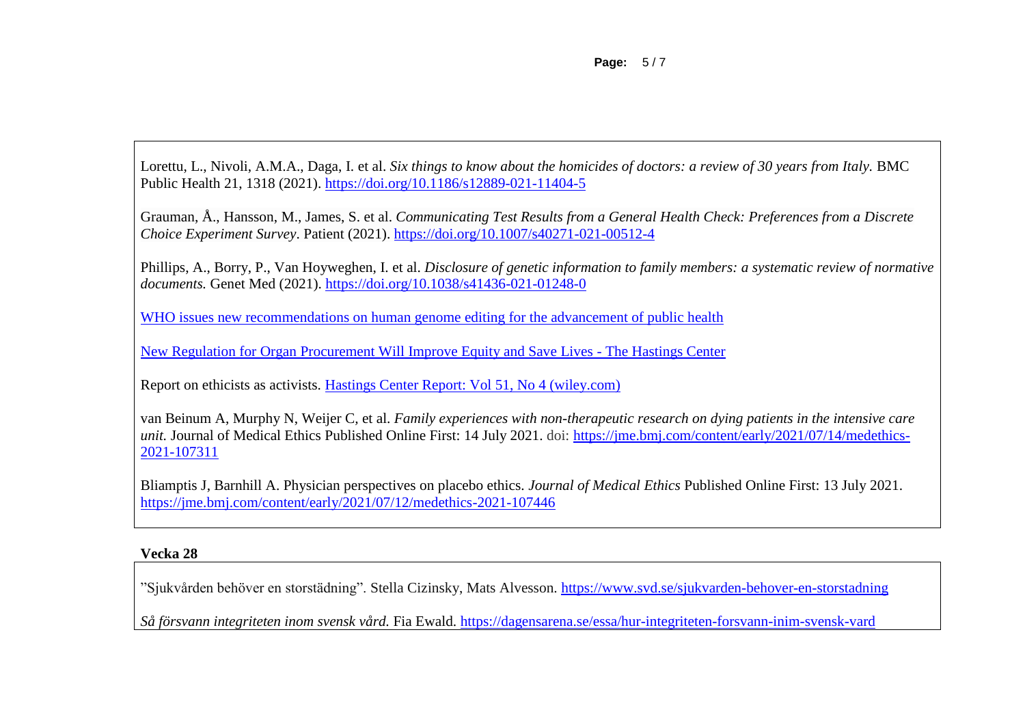**Page:** 5 / 7

Lorettu, L., Nivoli, A.M.A., Daga, I. et al. *Six things to know about the homicides of doctors: a review of 30 years from Italy.* BMC Public Health 21, 1318 (2021).<https://doi.org/10.1186/s12889-021-11404-5>

Grauman, Å., Hansson, M., James, S. et al. *Communicating Test Results from a General Health Check: Preferences from a Discrete Choice Experiment Survey*. Patient (2021).<https://doi.org/10.1007/s40271-021-00512-4>

Phillips, A., Borry, P., Van Hoyweghen, I. et al. *Disclosure of genetic information to family members: a systematic review of normative documents.* Genet Med (2021).<https://doi.org/10.1038/s41436-021-01248-0>

[WHO issues new recommendations on human genome editing for the advancement of public health](https://www.who.int/news/item/12-07-2021-who-issues-new-recommendations-on-human-genome-editing-for-the-advancement-of-public-health)

[New Regulation for Organ Procurement Will Improve Equity and Save Lives -](https://www.thehastingscenter.org/new-regulation-for-organ-procurement-will-improve-equity-and-save-lives/) The Hastings Center

Report on ethicists as activists. [Hastings Center Report: Vol 51, No 4 \(wiley.com\)](https://onlinelibrary.wiley.com/toc/1552146x/2021/51/4)

van Beinum A, Murphy N, Weijer C*,* et al. *Family experiences with non-therapeutic research on dying patients in the intensive care unit.* Journal of Medical Ethics Published Online First: 14 July 2021. doi: [https://jme.bmj.com/content/early/2021/07/14/medethics-](https://jme.bmj.com/content/early/2021/07/14/medethics-2021-107311)[2021-107311](https://jme.bmj.com/content/early/2021/07/14/medethics-2021-107311)

Bliamptis J, Barnhill A. Physician perspectives on placebo ethics. *Journal of Medical Ethics* Published Online First: 13 July 2021. <https://jme.bmj.com/content/early/2021/07/12/medethics-2021-107446>

# **Vecka 28**

"Sjukvården behöver en storstädning". Stella Cizinsky, Mats Alvesson. <https://www.svd.se/sjukvarden-behover-en-storstadning>

*Så försvann integriteten inom svensk vård.* Fia Ewald.<https://dagensarena.se/essa/hur-integriteten-forsvann-inim-svensk-vard>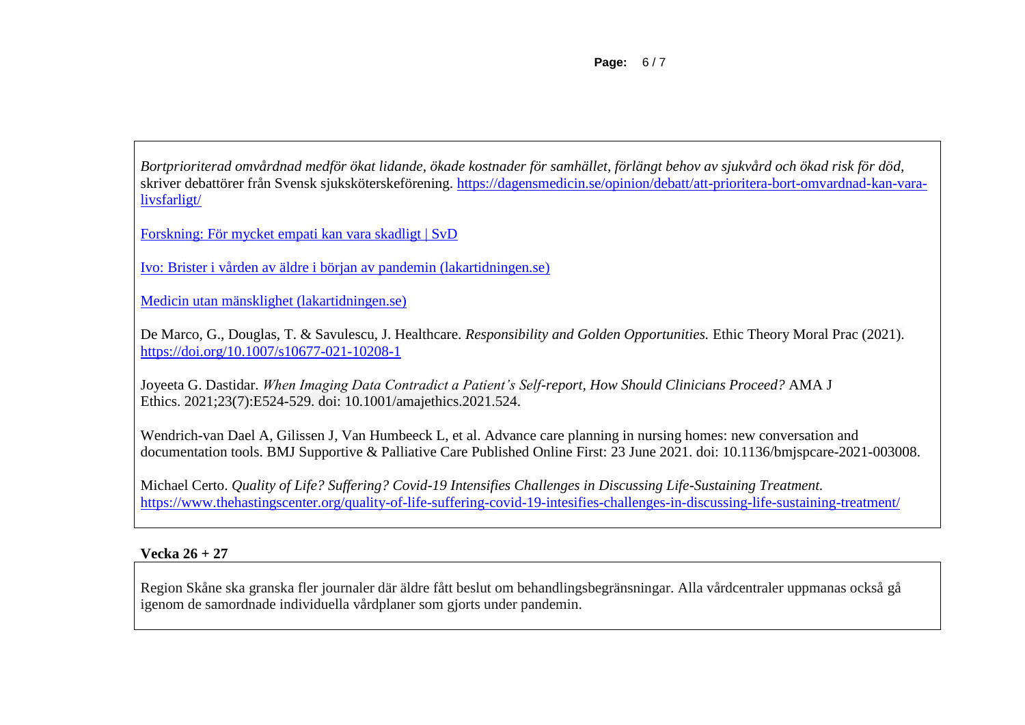**Page:** 6 / 7

*Bortprioriterad omvårdnad medför ökat lidande, ökade kostnader för samhället, förlängt behov av sjukvård och ökad risk för död,* skriver debattörer från Svensk sjuksköterskeförening. [https://dagensmedicin.se/opinion/debatt/att-prioritera-bort-omvardnad-kan-vara](https://dagensmedicin.se/opinion/debatt/att-prioritera-bort-omvardnad-kan-vara-livsfarligt/)[livsfarligt/](https://dagensmedicin.se/opinion/debatt/att-prioritera-bort-omvardnad-kan-vara-livsfarligt/)

[Forskning: För mycket empati kan vara skadligt | SvD](https://www.svd.se/pa-samhallsniva-kan-empati-vara-livsfarligt/om/forskning--vetenskap)

[Ivo: Brister i vården av äldre i början av pandemin \(lakartidningen.se\)](https://lakartidningen.se/aktuellt/nyheter/2021/07/ivo-brister-i-varden-av-aldre-i-borjan-av-pandemin/)

[Medicin utan mänsklighet \(lakartidningen.se\)](https://lakartidningen.se/aktuellt/kultur-2/2021/06/medicin-utan-mansklighet/#comment-23241)

De Marco, G., Douglas, T. & Savulescu, J. Healthcare. *Responsibility and Golden Opportunities.* Ethic Theory Moral Prac (2021). <https://doi.org/10.1007/s10677-021-10208-1>

Joyeeta G. Dastidar. *When Imaging Data Contradict a Patient's Self-report, How Should Clinicians Proceed?* AMA J Ethics. 2021;23(7):E524-529. doi: 10.1001/amajethics.2021.524.

Wendrich-van Dael A, Gilissen J, Van Humbeeck L, et al. Advance care planning in nursing homes: new conversation and documentation tools. BMJ Supportive & Palliative Care Published Online First: 23 June 2021. doi: 10.1136/bmjspcare-2021-003008.

Michael Certo. *Quality of Life? Suffering? Covid-19 Intensifies Challenges in Discussing Life-Sustaining Treatment.*  <https://www.thehastingscenter.org/quality-of-life-suffering-covid-19-intesifies-challenges-in-discussing-life-sustaining-treatment/>

# **Vecka 26 + 27**

Region Skåne ska granska fler journaler där äldre fått beslut om behandlingsbegränsningar. Alla vårdcentraler uppmanas också gå igenom de samordnade individuella vårdplaner som gjorts under pandemin.